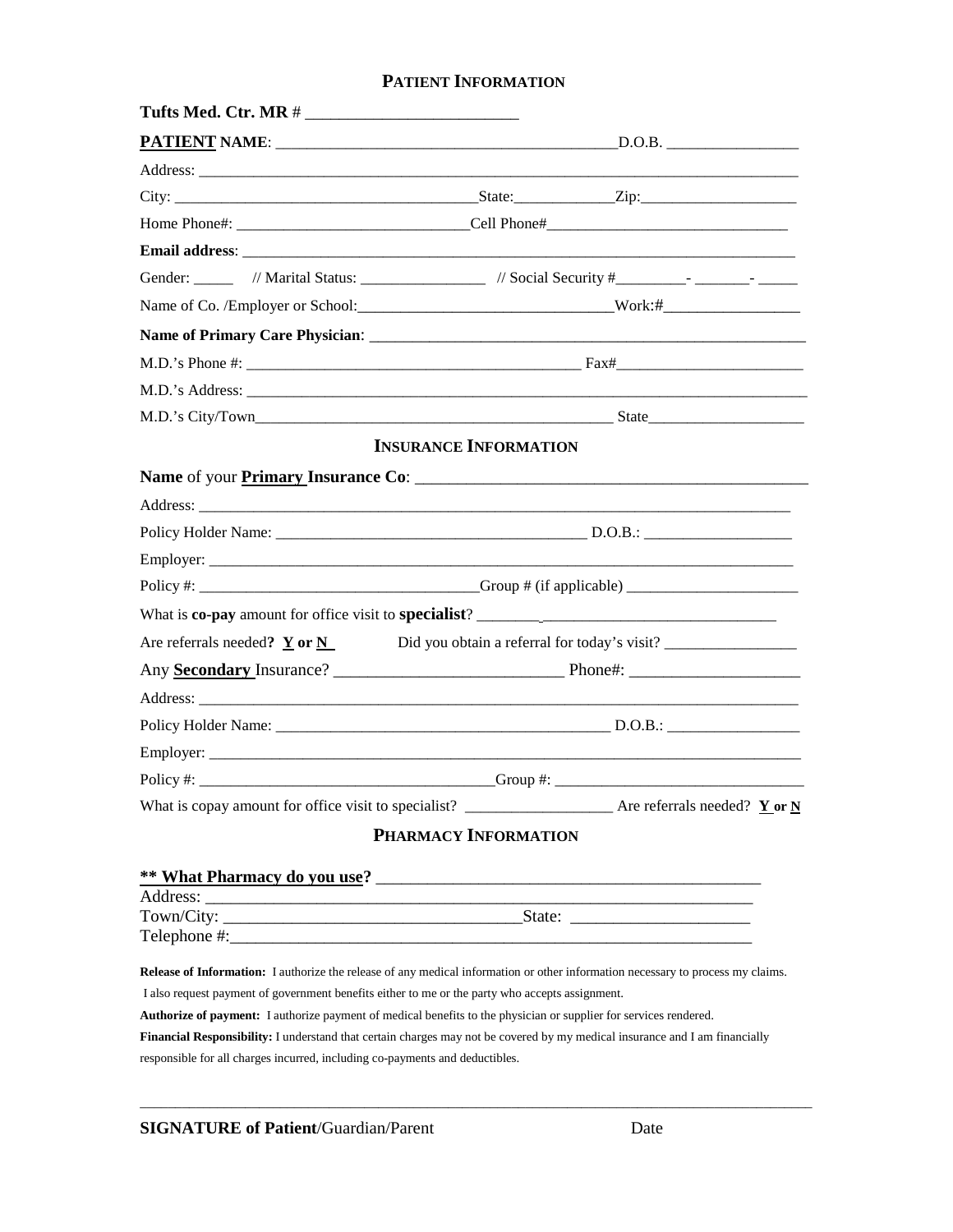# **PATIENT INFORMATION**

|                                                                                                                                 | <b>INSURANCE INFORMATION</b> |  |
|---------------------------------------------------------------------------------------------------------------------------------|------------------------------|--|
|                                                                                                                                 |                              |  |
|                                                                                                                                 |                              |  |
|                                                                                                                                 |                              |  |
|                                                                                                                                 |                              |  |
|                                                                                                                                 |                              |  |
|                                                                                                                                 |                              |  |
| Are referrals needed? $Y$ or $N$                                                                                                |                              |  |
|                                                                                                                                 |                              |  |
|                                                                                                                                 |                              |  |
|                                                                                                                                 |                              |  |
|                                                                                                                                 |                              |  |
|                                                                                                                                 |                              |  |
|                                                                                                                                 |                              |  |
|                                                                                                                                 | PHARMACY INFORMATION         |  |
|                                                                                                                                 |                              |  |
|                                                                                                                                 |                              |  |
|                                                                                                                                 |                              |  |
| Telephone #:                                                                                                                    |                              |  |
|                                                                                                                                 |                              |  |
| Release of Information: I authorize the release of any medical information or other information necessary to process my claims. |                              |  |
| I also request payment of government benefits either to me or the party who accepts assignment.                                 |                              |  |
| Authorize of payment: I authorize payment of medical benefits to the physician or supplier for services rendered.               |                              |  |
| Financial Responsibility: I understand that certain charges may not be covered by my medical insurance and I am financially     |                              |  |

responsible for all charges incurred, including co-payments and deductibles.

 $\overline{\phantom{a}}$  , and the contribution of the contribution of the contribution of the contribution of the contribution of the contribution of the contribution of the contribution of the contribution of the contribution of the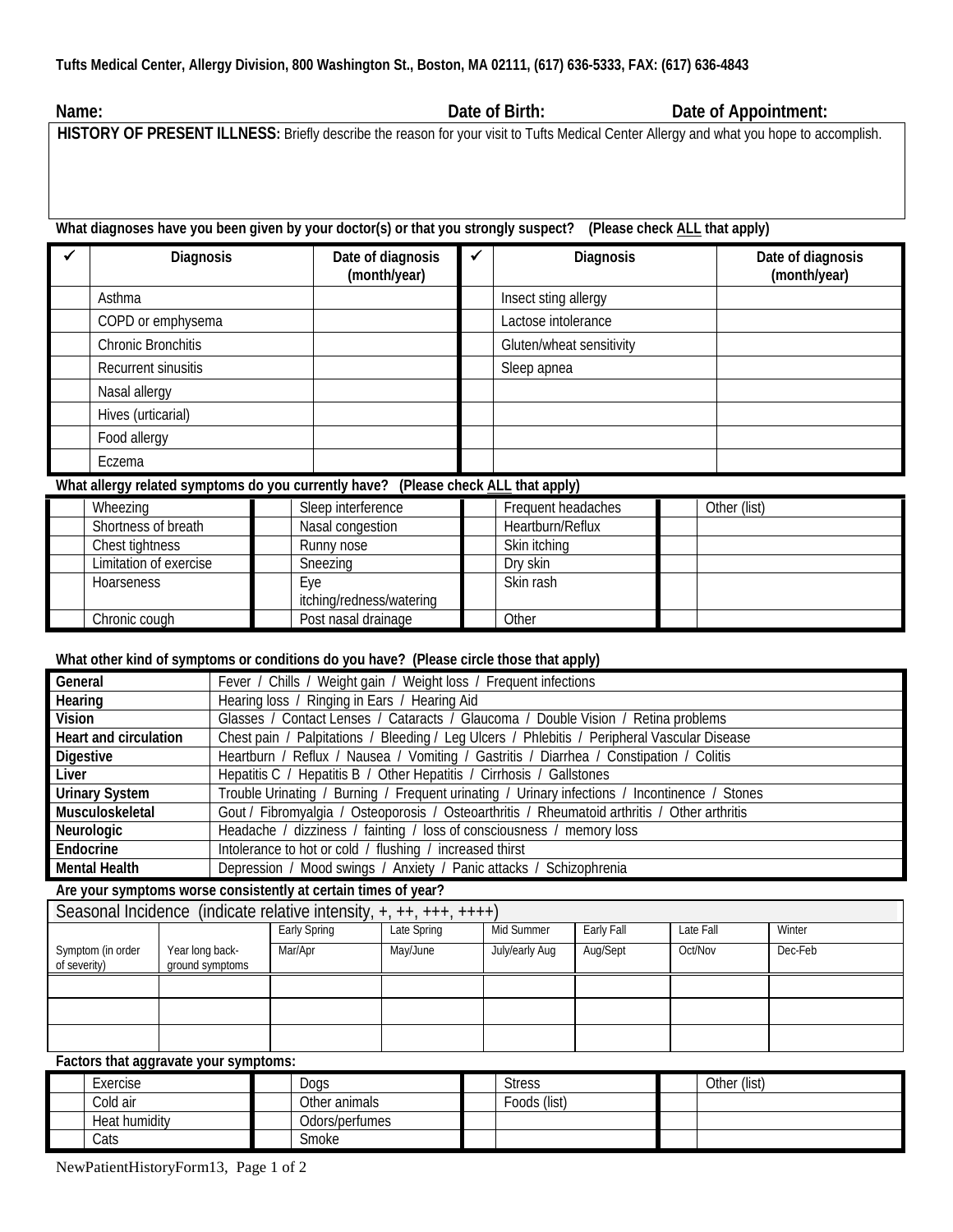**Name: Date of Birth: Date of Appointment:**

**HISTORY OF PRESENT ILLNESS:** Briefly describe the reason for your visit to Tufts Medical Center Allergy and what you hope to accomplish.

**What diagnoses have you been given by your doctor(s) or that you strongly suspect? (Please check ALL that apply)**

| Diagnosis           | Date of diagnosis<br>(month/year) | Diagnosis                | Date of diagnosis<br>(month/year) |
|---------------------|-----------------------------------|--------------------------|-----------------------------------|
| Asthma              |                                   | Insect sting allergy     |                                   |
| COPD or emphysema   |                                   | Lactose intolerance      |                                   |
| Chronic Bronchitis  |                                   | Gluten/wheat sensitivity |                                   |
| Recurrent sinusitis |                                   | Sleep apnea              |                                   |
| Nasal allergy       |                                   |                          |                                   |
| Hives (urticarial)  |                                   |                          |                                   |
| Food allergy        |                                   |                          |                                   |
| Eczema              |                                   |                          |                                   |

**What allergy related symptoms do you currently have? (Please check ALL that apply)**

| $\cdot$                |                          | .                  |              |
|------------------------|--------------------------|--------------------|--------------|
| Wheezing               | Sleep interference       | Frequent headaches | Other (list) |
| Shortness of breath    | Nasal congestion         | Heartburn/Reflux   |              |
| Chest tightness        | Runny nose               | Skin itching       |              |
| Limitation of exercise | Sneezing                 | Dry skin           |              |
| <b>Hoarseness</b>      | Eye                      | Skin rash          |              |
|                        | itching/redness/watering |                    |              |
| Chronic cough          | Post nasal drainage      | Other              |              |

## **What other kind of symptoms or conditions do you have? (Please circle those that apply)**

| General               | Fever / Chills / Weight gain / Weight loss / Frequent infections                              |
|-----------------------|-----------------------------------------------------------------------------------------------|
| Hearing               | Hearing loss / Ringing in Ears / Hearing Aid                                                  |
| Vision                | Glasses / Contact Lenses / Cataracts / Glaucoma / Double Vision / Retina problems             |
| Heart and circulation | Chest pain / Palpitations / Bleeding / Leg Ulcers / Phlebitis / Peripheral Vascular Disease   |
| Digestive             | Heartburn / Reflux / Nausea / Vomiting / Gastritis / Diarrhea / Constipation / Colitis        |
| Liver                 | Hepatitis C / Hepatitis B / Other Hepatitis / Cirrhosis / Gallstones                          |
| <b>Urinary System</b> | Trouble Urinating / Burning / Frequent urinating / Urinary infections / Incontinence / Stones |
| Musculoskeletal       | Gout / Fibromyalgia / Osteoporosis / Osteoarthritis / Rheumatoid arthritis / Other arthritis  |
| Neurologic            | Headache / dizziness / fainting / loss of consciousness / memory loss                         |
| Endocrine             | Intolerance to hot or cold / flushing / increased thirst                                      |
| <b>Mental Health</b>  | Depression / Mood swings / Anxiety / Panic attacks / Schizophrenia                            |

**Are your symptoms worse consistently at certain times of year?**

| Seasonal Incidence (indicate relative intensity, $+, ++, ++, +++)$ ) |                                    |              |             |                |            |           |         |
|----------------------------------------------------------------------|------------------------------------|--------------|-------------|----------------|------------|-----------|---------|
|                                                                      |                                    | Early Spring | Late Spring | Mid Summer     | Early Fall | Late Fall | Winter  |
| Symptom (in order<br>of severity)                                    | Year long back-<br>ground symptoms | Mar/Apr      | May/June    | July/early Aug | Aug/Sept   | Oct/Nov   | Dec-Feb |
|                                                                      |                                    |              |             |                |            |           |         |
|                                                                      |                                    |              |             |                |            |           |         |
|                                                                      |                                    |              |             |                |            |           |         |

**Factors that aggravate your symptoms:**

| Exercise             | Dogs           | <b>Stress</b> | Other (list) |
|----------------------|----------------|---------------|--------------|
| Cold air             | Other animals  | Foods (list)  |              |
| <b>Heat humidity</b> | Odors/perfumes |               |              |
| Cats                 | Smoke          |               |              |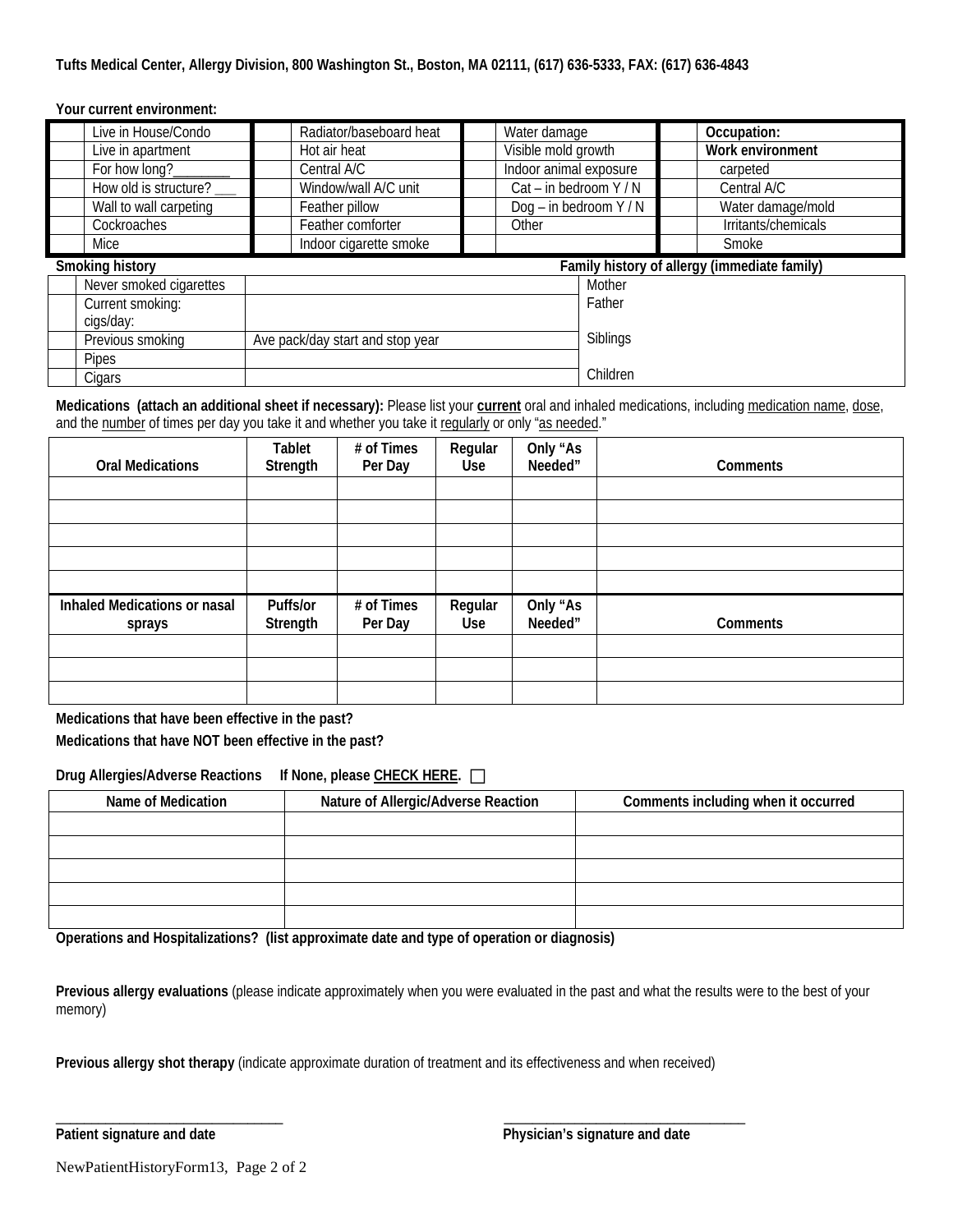### **Tufts Medical Center, Allergy Division, 800 Washington St., Boston, MA 02111, (617) 636-5333, FAX: (617) 636-4843**

### **Your current environment:**

| Live in House/Condo     | Radiator/baseboard heat          | Water damage           |          | Occupation:                                  |
|-------------------------|----------------------------------|------------------------|----------|----------------------------------------------|
| Live in apartment       | Hot air heat                     | Visible mold growth    |          | Work environment                             |
| For how long?           | Central A/C                      | Indoor animal exposure |          | carpeted                                     |
| How old is structure?   | Window/wall A/C unit             | Cat - in bedroom Y / N |          | Central A/C                                  |
| Wall to wall carpeting  | Feather pillow                   | Dog – in bedroom $Y/N$ |          | Water damage/mold                            |
| Cockroaches             | Feather comforter                | Other                  |          | Irritants/chemicals                          |
| Mice                    | Indoor cigarette smoke           |                        |          | Smoke                                        |
| Smoking history         |                                  |                        |          | Family history of allergy (immediate family) |
| Never smoked cigarettes |                                  |                        | Mother   |                                              |
| Current smoking:        |                                  |                        | Father   |                                              |
| cigs/day:               |                                  |                        |          |                                              |
| Previous smoking        | Ave pack/day start and stop year |                        | Siblings |                                              |
| <b>Pipes</b>            |                                  |                        |          |                                              |
| Cigars                  |                                  |                        | Children |                                              |

**Medications (attach an additional sheet if necessary):** Please list your **current** oral and inhaled medications, including medication name, dose, and the number of times per day you take it and whether you take it regularly or only "as needed."

| <b>Oral Medications</b>                | Tablet<br>Strength   | # of Times<br>Per Day | Regular<br><b>Use</b> | Only "As<br>Needed" | Comments |
|----------------------------------------|----------------------|-----------------------|-----------------------|---------------------|----------|
|                                        |                      |                       |                       |                     |          |
|                                        |                      |                       |                       |                     |          |
|                                        |                      |                       |                       |                     |          |
|                                        |                      |                       |                       |                     |          |
|                                        |                      |                       |                       |                     |          |
| Inhaled Medications or nasal<br>sprays | Puffs/or<br>Strength | # of Times<br>Per Day | Regular<br><b>Use</b> | Only "As<br>Needed" | Comments |
|                                        |                      |                       |                       |                     |          |
|                                        |                      |                       |                       |                     |          |
|                                        |                      |                       |                       |                     |          |

**Medications that have been effective in the past?**

**Medications that have NOT been effective in the past?**

### **Drug Allergies/Adverse Reactions If None, please CHECK HERE.** □

| Name of Medication | Nature of Allergic/Adverse Reaction | Comments including when it occurred |
|--------------------|-------------------------------------|-------------------------------------|
|                    |                                     |                                     |
|                    |                                     |                                     |
|                    |                                     |                                     |
|                    |                                     |                                     |
|                    |                                     |                                     |

**Operations and Hospitalizations? (list approximate date and type of operation or diagnosis)**

**Previous allergy evaluations** (please indicate approximately when you were evaluated in the past and what the results were to the best of your memory)

**Previous allergy shot therapy** (indicate approximate duration of treatment and its effectiveness and when received)

\_\_\_\_\_\_\_\_\_\_\_\_\_\_\_\_\_\_\_\_\_\_\_\_\_\_\_\_\_\_\_\_ \_\_\_\_\_\_\_\_\_\_\_\_\_\_\_\_\_\_\_\_\_\_\_\_\_\_\_\_\_\_\_\_\_\_

**Patient signature and date Physician's signature and date**

NewPatientHistoryForm13, Page 2 of 2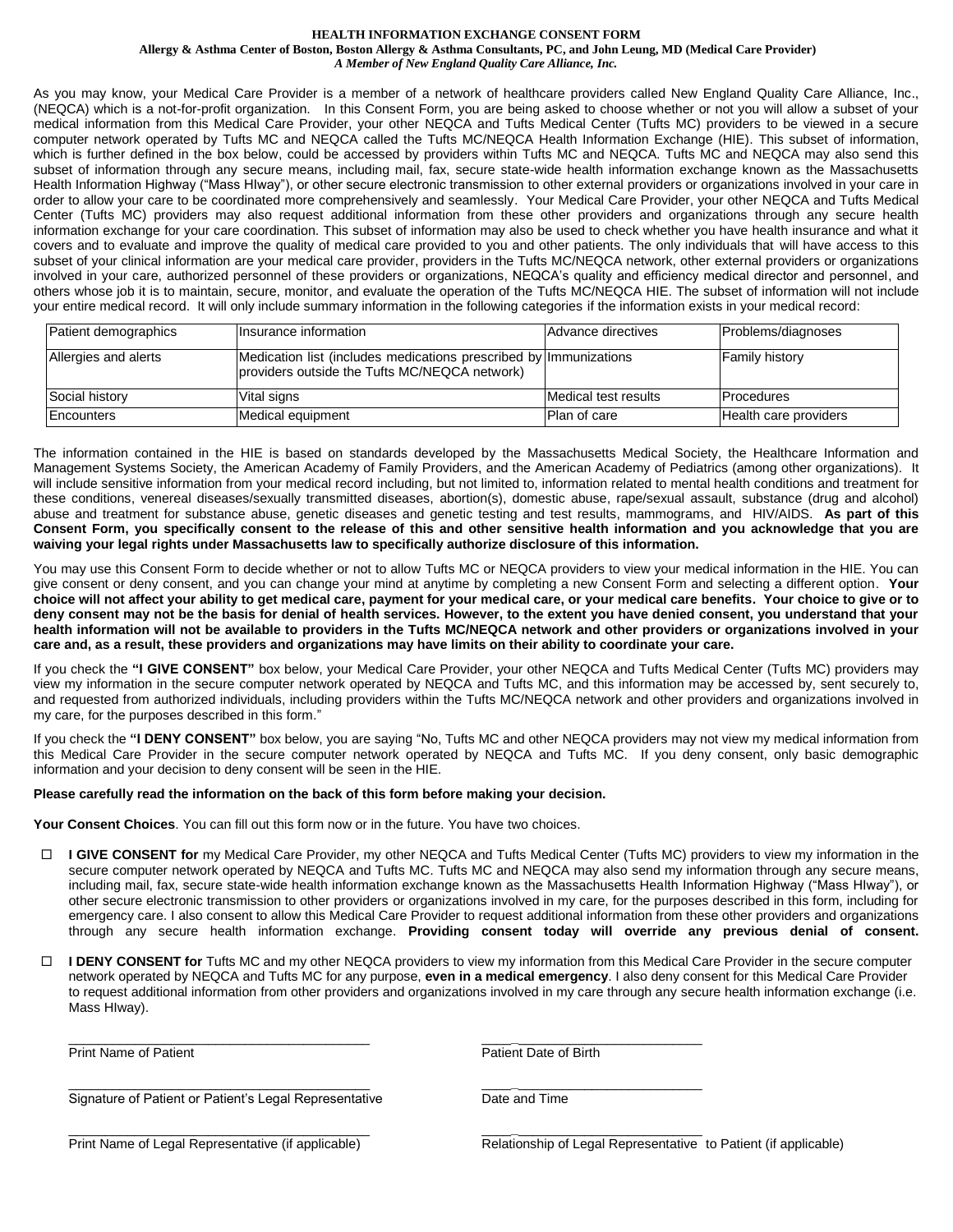#### **HEALTH INFORMATION EXCHANGE CONSENT FORM**

**Allergy & Asthma Center of Boston, Boston Allergy & Asthma Consultants, PC, and John Leung, MD (Medical Care Provider)** *A Member of New England Quality Care Alliance, Inc.*

As you may know, your Medical Care Provider is a member of a network of healthcare providers called New England Quality Care Alliance, Inc., (NEQCA) which is a not-for-profit organization. In this Consent Form, you are being asked to choose whether or not you will allow a subset of your medical information from this Medical Care Provider, your other NEQCA and Tufts Medical Center (Tufts MC) providers to be viewed in a secure computer network operated by Tufts MC and NEQCA called the Tufts MC/NEQCA Health Information Exchange (HIE). This subset of information, which is further defined in the box below, could be accessed by providers within Tufts MC and NEQCA. Tufts MC and NEQCA may also send this subset of information through any secure means, including mail, fax, secure state-wide health information exchange known as the Massachusetts Health Information Highway ("Mass HIway"), or other secure electronic transmission to other external providers or organizations involved in your care in order to allow your care to be coordinated more comprehensively and seamlessly. Your Medical Care Provider, your other NEQCA and Tufts Medical Center (Tufts MC) providers may also request additional information from these other providers and organizations through any secure health information exchange for your care coordination. This subset of information may also be used to check whether you have health insurance and what it covers and to evaluate and improve the quality of medical care provided to you and other patients. The only individuals that will have access to this subset of your clinical information are your medical care provider, providers in the Tufts MC/NEQCA network, other external providers or organizations involved in your care, authorized personnel of these providers or organizations, NEQCA's quality and efficiency medical director and personnel, and others whose job it is to maintain, secure, monitor, and evaluate the operation of the Tufts MC/NEQCA HIE. The subset of information will not include your entire medical record. It will only include summary information in the following categories if the information exists in your medical record:

| Patient demographics | Insurance information                                                                                              | Advance directives   | Problems/diagnoses    |
|----------------------|--------------------------------------------------------------------------------------------------------------------|----------------------|-----------------------|
| Allergies and alerts | Medication list (includes medications prescribed by Immunizations<br>providers outside the Tufts MC/NEQCA network) |                      | <b>Family history</b> |
| Social history       | Vital signs                                                                                                        | Medical test results | <b>IProcedures</b>    |
| Encounters           | Medical equipment                                                                                                  | Plan of care         | Health care providers |

The information contained in the HIE is based on standards developed by the Massachusetts Medical Society, the Healthcare Information and Management Systems Society, the American Academy of Family Providers, and the American Academy of Pediatrics (among other organizations). It will include sensitive information from your medical record including, but not limited to, information related to mental health conditions and treatment for these conditions, venereal diseases/sexually transmitted diseases, abortion(s), domestic abuse, rape/sexual assault, substance (drug and alcohol) abuse and treatment for substance abuse, genetic diseases and genetic testing and test results, mammograms, and HIV/AIDS. **As part of this Consent Form, you specifically consent to the release of this and other sensitive health information and you acknowledge that you are waiving your legal rights under Massachusetts law to specifically authorize disclosure of this information.**

You may use this Consent Form to decide whether or not to allow Tufts MC or NEQCA providers to view your medical information in the HIE. You can give consent or deny consent, and you can change your mind at anytime by completing a new Consent Form and selecting a different option. **Your choice will not affect your ability to get medical care, payment for your medical care, or your medical care benefits. Your choice to give or to deny consent may not be the basis for denial of health services. However, to the extent you have denied consent, you understand that your health information will not be available to providers in the Tufts MC/NEQCA network and other providers or organizations involved in your care and, as a result, these providers and organizations may have limits on their ability to coordinate your care.**

If you check the **"I GIVE CONSENT"** box below, your Medical Care Provider, your other NEQCA and Tufts Medical Center (Tufts MC) providers may view my information in the secure computer network operated by NEQCA and Tufts MC, and this information may be accessed by, sent securely to, and requested from authorized individuals, including providers within the Tufts MC/NEQCA network and other providers and organizations involved in my care, for the purposes described in this form."

If you check the **"I DENY CONSENT"** box below, you are saying "No, Tufts MC and other NEQCA providers may not view my medical information from this Medical Care Provider in the secure computer network operated by NEQCA and Tufts MC. If you deny consent, only basic demographic information and your decision to deny consent will be seen in the HIE.

#### **Please carefully read the information on the back of this form before making your decision.**

**Your Consent Choices**. You can fill out this form now or in the future. You have two choices.

- **I GIVE CONSENT for** my Medical Care Provider, my other NEQCA and Tufts Medical Center (Tufts MC) providers to view my information in the secure computer network operated by NEQCA and Tufts MC. Tufts MC and NEQCA may also send my information through any secure means, including mail, fax, secure state-wide health information exchange known as the Massachusetts Health Information Highway ("Mass HIway"), or other secure electronic transmission to other providers or organizations involved in my care, for the purposes described in this form, including for emergency care. I also consent to allow this Medical Care Provider to request additional information from these other providers and organizations through any secure health information exchange. **Providing consent today will override any previous denial of consent.**
- □ **I DENY CONSENT for** Tufts MC and my other NEQCA providers to view my information from this Medical Care Provider in the secure computer network operated by NEQCA and Tufts MC for any purpose, **even in a medical emergency**. I also deny consent for this Medical Care Provider to request additional information from other providers and organizations involved in my care through any secure health information exchange (i.e. Mass HIway).

\_\_\_\_\_\_\_\_\_\_\_\_\_\_\_\_\_\_\_\_\_\_\_\_\_\_\_\_\_\_\_\_\_\_\_\_\_\_\_\_\_ \_\_\_\_**\_**\_\_\_\_\_\_\_\_\_\_\_\_\_\_\_\_\_\_\_\_\_\_\_\_\_

\_\_\_\_\_\_\_\_\_\_\_\_\_\_\_\_\_\_\_\_\_\_\_\_\_\_\_\_\_\_\_\_\_\_\_\_\_\_\_\_\_ \_\_\_\_**\_**\_\_\_\_\_\_\_\_\_\_\_\_\_\_\_\_\_\_\_\_\_\_\_\_\_

\_\_\_\_\_\_\_\_\_\_\_\_\_\_\_\_\_\_\_\_\_\_\_\_\_\_\_\_\_\_\_\_\_\_\_\_\_\_\_\_\_ \_\_\_\_**\_**\_\_\_\_\_\_\_\_\_\_\_\_\_\_\_\_\_\_\_\_\_\_\_\_\_

Print Name of Patient **Patient Patient Patient Date of Birth** 

Signature of Patient or Patient's Legal Representative **Date and Time** 

Print Name of Legal Representative (if applicable) Relationship of Legal Representative to Patient (if applicable)